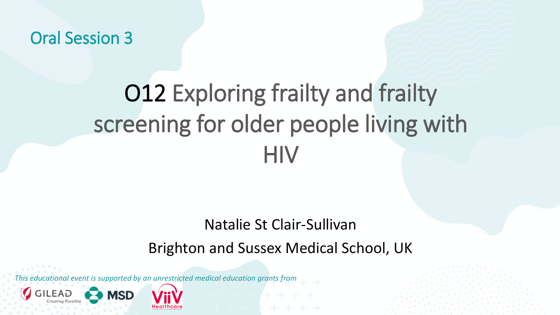Oral Session 3

# O12 Exploring frailty and frailty screening for older people living with **HIV**

#### Natalie St Clair-Sullivan

#### Brighton and Sussex Medical School, UK

*This educational event is supported by an unrestricted medical education grants from* 

**MSD**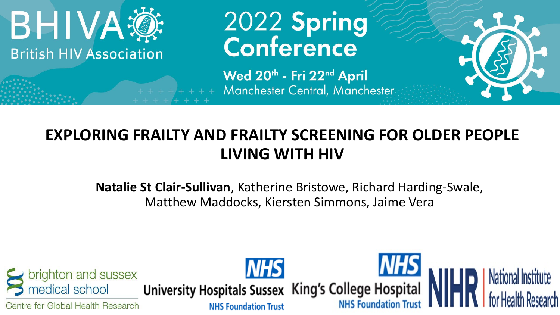

# 2022 Spring<br>Conference

Wed 20th - Fri 22nd April Manchester Central, Manchester



**Natalie St Clair-Sullivan**, Katherine Bristowe, Richard Harding-Swale, Matthew Maddocks, Kiersten Simmons, Jaime Vera

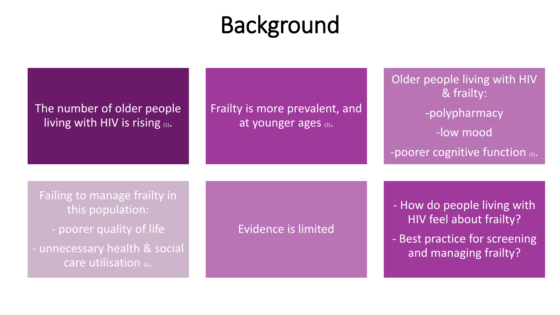# **Background**

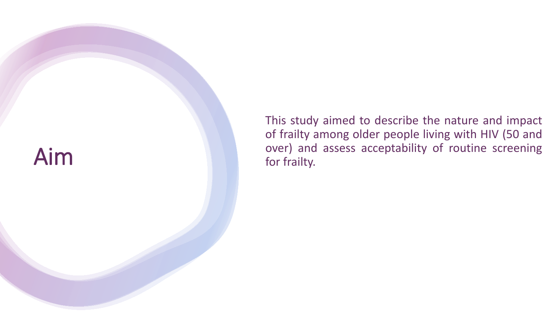

This study aimed to describe the nature and impact of frailty among older people living with HIV (50 and over) and assess acceptability of routine screening for frailty .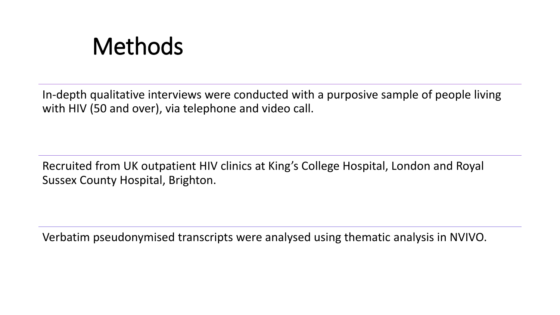## Methods

In-depth qualitative interviews were conducted with a purposive sample of people living with HIV (50 and over), via telephone and video call.

Recruited from UK outpatient HIV clinics at King's College Hospital, London and Royal Sussex County Hospital, Brighton.

Verbatim pseudonymised transcripts were analysed using thematic analysis in NVIVO.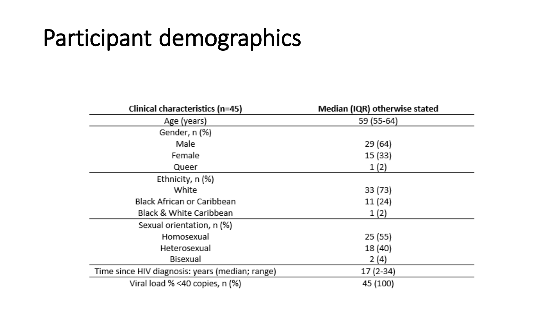# Participant demographics

| Clinical characteristics (n=45)                 | Median (IQR) otherwise stated |
|-------------------------------------------------|-------------------------------|
| Age (years)                                     | 59 (55-64)                    |
| Gender, n (%)                                   |                               |
| Male                                            | 29(64)                        |
| Female                                          | 15(33)                        |
| Queer                                           | 1(2)                          |
| Ethnicity, $n$ (%)                              |                               |
| White                                           | 33(73)                        |
| Black African or Caribbean                      | 11(24)                        |
| Black & White Caribbean                         | 1(2)                          |
| Sexual orientation, n (%)                       |                               |
| Homosexual                                      | 25(55)                        |
| Heterosexual                                    | 18(40)                        |
| Bisexual                                        | 2(4)                          |
| Time since HIV diagnosis: years (median; range) | $17(2-34)$                    |
| Viral load % <40 copies, n (%)                  | 45 (100)                      |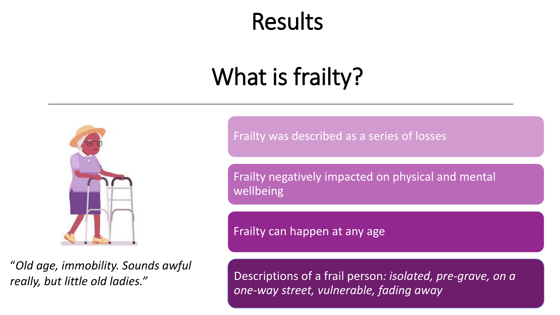### Results

# What is frailty?



"*Old age, immobility. Sounds awful really, but little old ladies."* 

Frailty was described as a series of losses

Frailty negatively impacted on physical and mental wellbeing

Frailty can happen at any age

Descriptions of a frail person*: isolated, pre-grave, on a one-way street, vulnerable, fading away*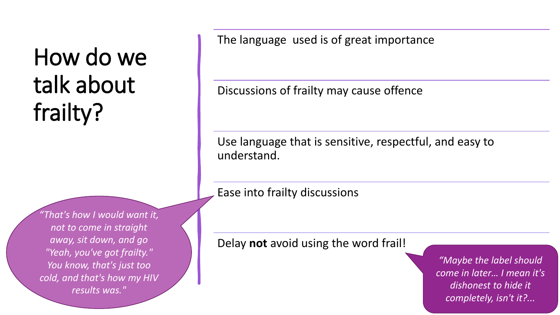# How do we talk about frailty?

*"That's how I would want it, not to come in straight away, sit down, and go "Yeah, you've got frailty." You know, that's just too cold, and that's how my HIV results was."* 

The language used is of great importance

Discussions of frailty may cause offence

Use language that is sensitive, respectful, and easy to understand.

Ease into frailty discussions

Delay **not** avoid using the word frail!

*"Maybe the label should come in later… I mean it's dishonest to hide it completely, isn't it?...*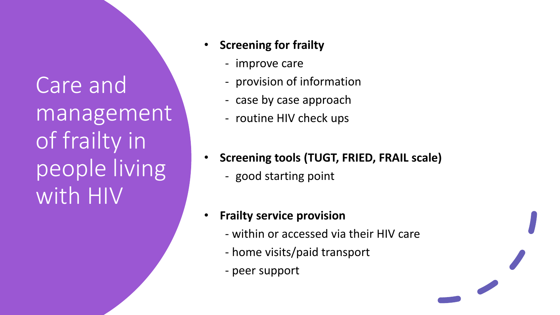Care and management of frailty in people living with HIV

- **Screening for frailty** 
	- improve care
	- provision of information
	- case by case approach
	- routine HIV check ups
- **Screening tools (TUGT, FRIED, FRAIL scale)**
	- good starting point
- **Frailty service provision**
	- within or accessed via their HIV care
	- home visits/paid transport
	- peer support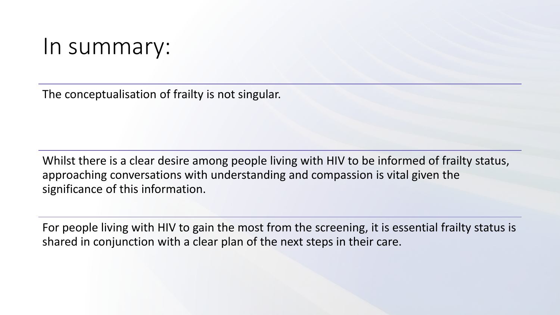#### In summary:

The conceptualisation of frailty is not singular.

Whilst there is a clear desire among people living with HIV to be informed of frailty status, approaching conversations with understanding and compassion is vital given the significance of this information.

For people living with HIV to gain the most from the screening, it is essential frailty status is shared in conjunction with a clear plan of the next steps in their care.